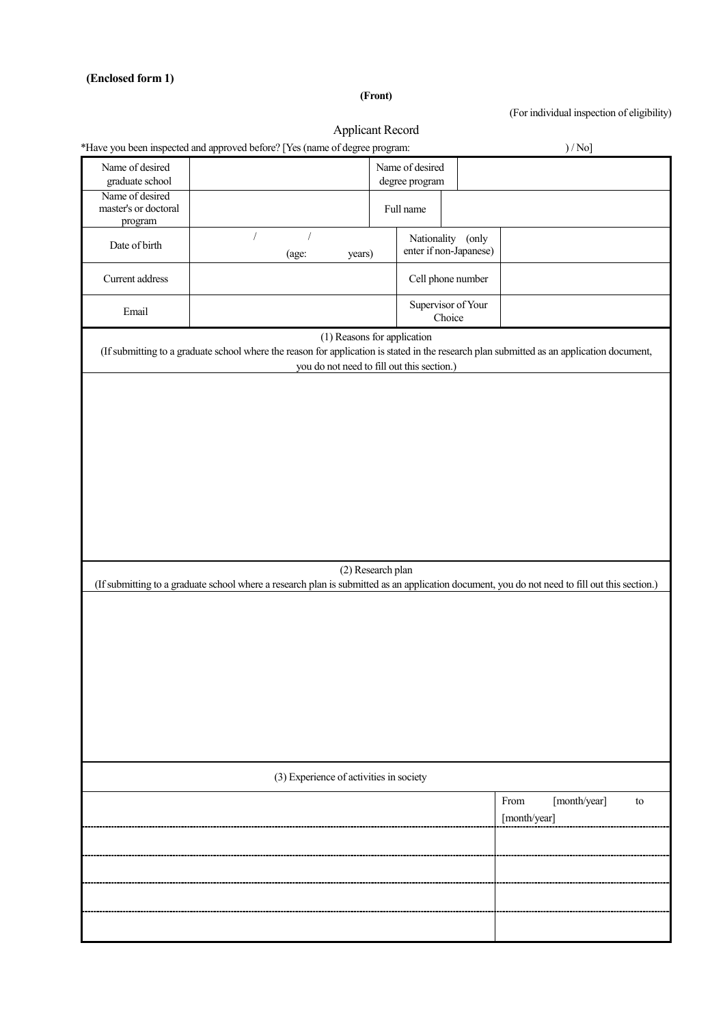## **(Enclosed form 1)**

**(Front)**

(For individual inspection of eligibility)

|                                         | *Have you been inspected and approved before? [Yes (name of degree program: | Applicant Record                                                          | )/No]                                                                                                                                         |  |  |  |  |
|-----------------------------------------|-----------------------------------------------------------------------------|---------------------------------------------------------------------------|-----------------------------------------------------------------------------------------------------------------------------------------------|--|--|--|--|
| Name of desired<br>graduate school      |                                                                             | Name of desired<br>degree program                                         |                                                                                                                                               |  |  |  |  |
| Name of desired                         |                                                                             |                                                                           |                                                                                                                                               |  |  |  |  |
| master's or doctoral<br>program         |                                                                             | Full name                                                                 |                                                                                                                                               |  |  |  |  |
| Date of birth                           | $\sqrt{2}$<br>(age:<br>years)                                               | Nationality (only<br>enter if non-Japanese)                               |                                                                                                                                               |  |  |  |  |
| Current address                         |                                                                             | Cell phone number                                                         |                                                                                                                                               |  |  |  |  |
| Email                                   |                                                                             | Supervisor of Your<br>Choice                                              |                                                                                                                                               |  |  |  |  |
|                                         |                                                                             | (1) Reasons for application<br>you do not need to fill out this section.) | (If submitting to a graduate school where the reason for application is stated in the research plan submitted as an application document,     |  |  |  |  |
|                                         |                                                                             |                                                                           |                                                                                                                                               |  |  |  |  |
|                                         |                                                                             |                                                                           |                                                                                                                                               |  |  |  |  |
|                                         |                                                                             |                                                                           |                                                                                                                                               |  |  |  |  |
|                                         |                                                                             |                                                                           |                                                                                                                                               |  |  |  |  |
|                                         |                                                                             |                                                                           |                                                                                                                                               |  |  |  |  |
|                                         |                                                                             |                                                                           |                                                                                                                                               |  |  |  |  |
|                                         |                                                                             |                                                                           |                                                                                                                                               |  |  |  |  |
|                                         |                                                                             | (2) Research plan                                                         |                                                                                                                                               |  |  |  |  |
|                                         |                                                                             |                                                                           | (If submitting to a graduate school where a research plan is submitted as an application document, you do not need to fill out this section.) |  |  |  |  |
|                                         |                                                                             |                                                                           |                                                                                                                                               |  |  |  |  |
|                                         |                                                                             |                                                                           |                                                                                                                                               |  |  |  |  |
|                                         |                                                                             |                                                                           |                                                                                                                                               |  |  |  |  |
|                                         |                                                                             |                                                                           |                                                                                                                                               |  |  |  |  |
|                                         |                                                                             |                                                                           |                                                                                                                                               |  |  |  |  |
|                                         |                                                                             |                                                                           |                                                                                                                                               |  |  |  |  |
| (3) Experience of activities in society |                                                                             |                                                                           |                                                                                                                                               |  |  |  |  |
|                                         |                                                                             |                                                                           | From<br>[month/year]<br>to<br>[month/year]                                                                                                    |  |  |  |  |
|                                         |                                                                             |                                                                           |                                                                                                                                               |  |  |  |  |
|                                         |                                                                             |                                                                           |                                                                                                                                               |  |  |  |  |
|                                         |                                                                             |                                                                           |                                                                                                                                               |  |  |  |  |
|                                         |                                                                             |                                                                           |                                                                                                                                               |  |  |  |  |
|                                         |                                                                             |                                                                           |                                                                                                                                               |  |  |  |  |

## Applicant Record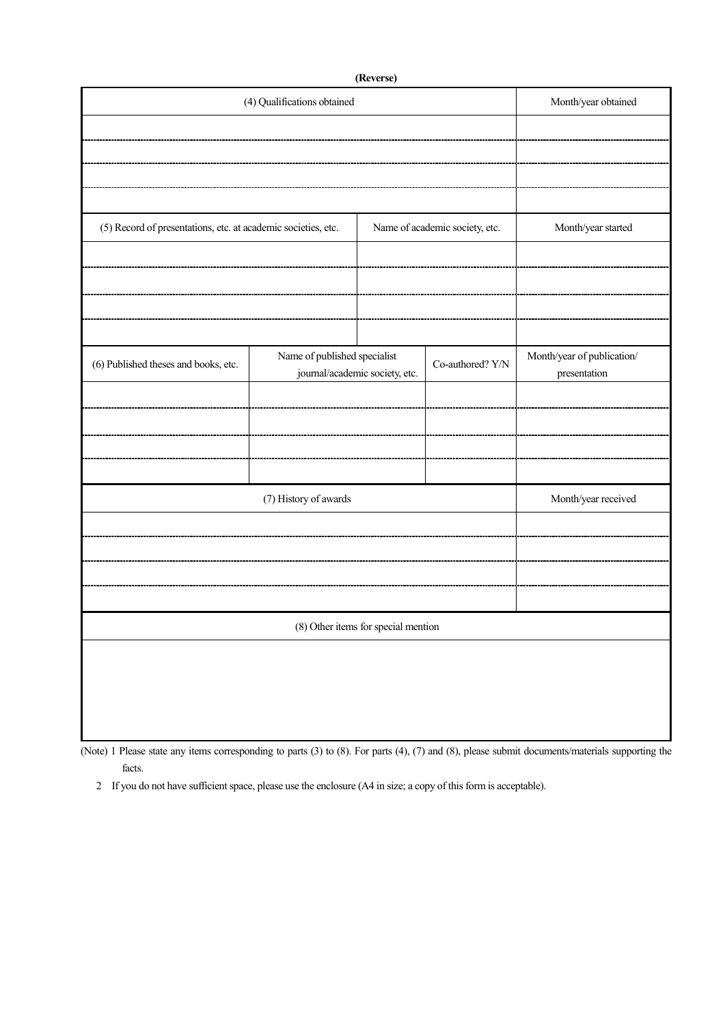| (Reverse)                                                     |                                                                |                                     |                    |                                            |  |  |  |  |
|---------------------------------------------------------------|----------------------------------------------------------------|-------------------------------------|--------------------|--------------------------------------------|--|--|--|--|
| (4) Qualifications obtained                                   | Month/year obtained                                            |                                     |                    |                                            |  |  |  |  |
|                                                               |                                                                |                                     |                    |                                            |  |  |  |  |
|                                                               |                                                                |                                     |                    |                                            |  |  |  |  |
|                                                               |                                                                |                                     |                    |                                            |  |  |  |  |
|                                                               |                                                                |                                     |                    |                                            |  |  |  |  |
|                                                               |                                                                |                                     |                    |                                            |  |  |  |  |
| (5) Record of presentations, etc. at academic societies, etc. |                                                                | Name of academic society, etc.      | Month/year started |                                            |  |  |  |  |
|                                                               |                                                                |                                     |                    |                                            |  |  |  |  |
|                                                               |                                                                |                                     |                    |                                            |  |  |  |  |
|                                                               |                                                                |                                     |                    |                                            |  |  |  |  |
|                                                               |                                                                |                                     |                    |                                            |  |  |  |  |
|                                                               |                                                                |                                     |                    |                                            |  |  |  |  |
| (6) Published theses and books, etc.                          | Name of published specialist<br>journal/academic society, etc. |                                     | Co-authored? Y/N   | Month/year of publication/<br>presentation |  |  |  |  |
|                                                               |                                                                |                                     |                    |                                            |  |  |  |  |
|                                                               |                                                                |                                     |                    |                                            |  |  |  |  |
|                                                               |                                                                |                                     |                    |                                            |  |  |  |  |
|                                                               |                                                                |                                     |                    |                                            |  |  |  |  |
|                                                               |                                                                |                                     |                    |                                            |  |  |  |  |
|                                                               | (7) History of awards                                          |                                     |                    | Month/year received                        |  |  |  |  |
|                                                               |                                                                |                                     |                    |                                            |  |  |  |  |
|                                                               |                                                                |                                     |                    |                                            |  |  |  |  |
|                                                               |                                                                |                                     |                    |                                            |  |  |  |  |
|                                                               |                                                                |                                     |                    |                                            |  |  |  |  |
|                                                               |                                                                |                                     |                    |                                            |  |  |  |  |
|                                                               |                                                                | (8) Other items for special mention |                    |                                            |  |  |  |  |
|                                                               |                                                                |                                     |                    |                                            |  |  |  |  |
|                                                               |                                                                |                                     |                    |                                            |  |  |  |  |
|                                                               |                                                                |                                     |                    |                                            |  |  |  |  |
|                                                               |                                                                |                                     |                    |                                            |  |  |  |  |
|                                                               |                                                                |                                     |                    |                                            |  |  |  |  |

(Note) 1 Please state any items corresponding to parts (3) to (8). For parts (4), (7) and (8), please submit documents/materials supporting the facts.

2 If you do not have sufficient space, please use the enclosure (A4 in size; a copy of this form is acceptable).